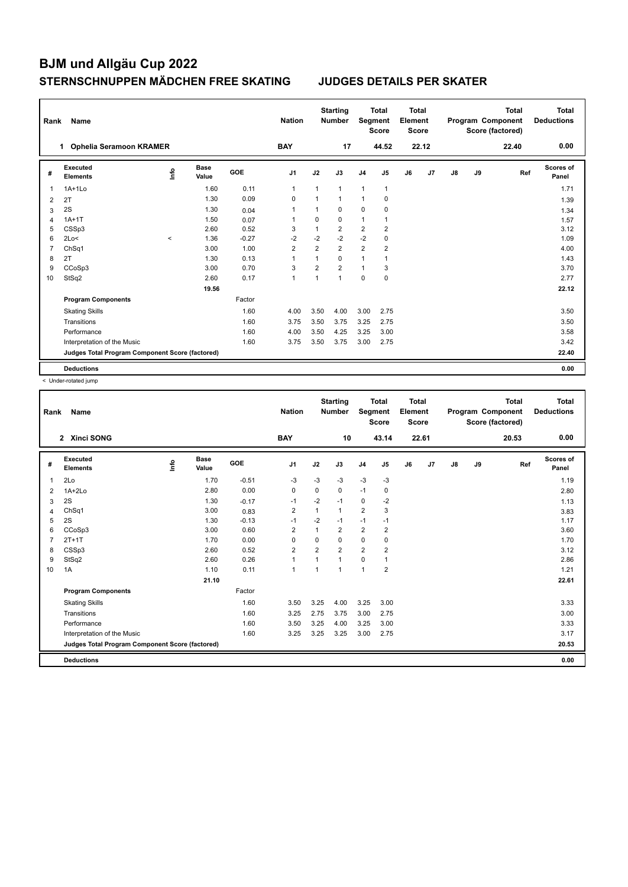| Rank           | Name                                            |         | <b>Nation</b>        |         | <b>Starting</b><br><b>Number</b> | Segment        | <b>Total</b><br><b>Score</b> | <b>Total</b><br>Element<br><b>Score</b> |                |    |       | <b>Total</b><br>Program Component<br>Score (factored) | <b>Total</b><br><b>Deductions</b> |       |                           |
|----------------|-------------------------------------------------|---------|----------------------|---------|----------------------------------|----------------|------------------------------|-----------------------------------------|----------------|----|-------|-------------------------------------------------------|-----------------------------------|-------|---------------------------|
|                | <b>Ophelia Seramoon KRAMER</b><br>1             |         |                      |         | <b>BAY</b>                       |                | 17                           |                                         | 44.52          |    | 22.12 |                                                       |                                   | 22.40 | 0.00                      |
| #              | Executed<br><b>Elements</b>                     | Info    | <b>Base</b><br>Value | GOE     | J <sub>1</sub>                   | J2             | J3                           | J <sub>4</sub>                          | J <sub>5</sub> | J6 | J7    | $\mathsf{J}8$                                         | J9                                | Ref   | <b>Scores of</b><br>Panel |
| 1              | $1A+1Lo$                                        |         | 1.60                 | 0.11    | $\mathbf{1}$                     | 1              | 1                            | $\mathbf{1}$                            | 1              |    |       |                                                       |                                   |       | 1.71                      |
| 2              | 2T                                              |         | 1.30                 | 0.09    | 0                                | 1              | 1                            | $\overline{1}$                          | $\mathbf 0$    |    |       |                                                       |                                   |       | 1.39                      |
| 3              | 2S                                              |         | 1.30                 | 0.04    | $\mathbf 1$                      | 1              | 0                            | $\mathbf 0$                             | $\mathbf 0$    |    |       |                                                       |                                   |       | 1.34                      |
| 4              | $1A+1T$                                         |         | 1.50                 | 0.07    | $\overline{ }$                   | $\Omega$       | 0                            | $\mathbf{1}$                            | 1              |    |       |                                                       |                                   |       | 1.57                      |
| 5              | CSSp3                                           |         | 2.60                 | 0.52    | 3                                | 1              | $\overline{2}$               | $\overline{2}$                          | $\overline{2}$ |    |       |                                                       |                                   |       | 3.12                      |
| 6              | 2Lo<                                            | $\prec$ | 1.36                 | $-0.27$ | $-2$                             | $-2$           | $-2$                         | $-2$                                    | $\mathbf 0$    |    |       |                                                       |                                   |       | 1.09                      |
| $\overline{7}$ | Ch <sub>Sq1</sub>                               |         | 3.00                 | 1.00    | $\overline{2}$                   | $\overline{2}$ | $\overline{2}$               | $\overline{2}$                          | 2              |    |       |                                                       |                                   |       | 4.00                      |
| 8              | 2T                                              |         | 1.30                 | 0.13    | $\overline{1}$                   | 1              | $\Omega$                     | $\mathbf{1}$                            | 1              |    |       |                                                       |                                   |       | 1.43                      |
| 9              | CCoSp3                                          |         | 3.00                 | 0.70    | 3                                | $\overline{2}$ | $\overline{2}$               | $\mathbf{1}$                            | 3              |    |       |                                                       |                                   |       | 3.70                      |
| 10             | StSq2                                           |         | 2.60                 | 0.17    | $\mathbf{1}$                     | $\mathbf{1}$   | 1                            | $\mathbf 0$                             | $\mathbf 0$    |    |       |                                                       |                                   |       | 2.77                      |
|                |                                                 |         | 19.56                |         |                                  |                |                              |                                         |                |    |       |                                                       |                                   |       | 22.12                     |
|                | <b>Program Components</b>                       |         |                      | Factor  |                                  |                |                              |                                         |                |    |       |                                                       |                                   |       |                           |
|                | <b>Skating Skills</b>                           |         |                      | 1.60    | 4.00                             | 3.50           | 4.00                         | 3.00                                    | 2.75           |    |       |                                                       |                                   |       | 3.50                      |
|                | Transitions                                     |         |                      | 1.60    | 3.75                             | 3.50           | 3.75                         | 3.25                                    | 2.75           |    |       |                                                       |                                   |       | 3.50                      |
|                | Performance                                     |         |                      | 1.60    | 4.00                             | 3.50           | 4.25                         | 3.25                                    | 3.00           |    |       |                                                       |                                   |       | 3.58                      |
|                | Interpretation of the Music                     |         |                      | 1.60    | 3.75                             | 3.50           | 3.75                         | 3.00                                    | 2.75           |    |       |                                                       |                                   |       | 3.42                      |
|                | Judges Total Program Component Score (factored) |         |                      |         |                                  |                |                              |                                         |                |    |       |                                                       |                                   |       | 22.40                     |
|                | <b>Deductions</b>                               |         |                      |         |                                  |                |                              |                                         |                |    |       |                                                       |                                   |       | 0.00                      |

< Under-rotated jump

| Rank           | Name                                            |      |                      |         | <b>Nation</b>  |                | <b>Starting</b><br><b>Number</b> | Segment        | <b>Total</b><br><b>Score</b> | <b>Total</b><br>Element<br><b>Score</b> |       |               |    | <b>Total</b><br>Program Component<br>Score (factored) | <b>Total</b><br><b>Deductions</b> |
|----------------|-------------------------------------------------|------|----------------------|---------|----------------|----------------|----------------------------------|----------------|------------------------------|-----------------------------------------|-------|---------------|----|-------------------------------------------------------|-----------------------------------|
|                | 2 Xinci SONG                                    |      |                      |         | <b>BAY</b>     |                | 10                               |                | 43.14                        |                                         | 22.61 |               |    | 20.53                                                 | 0.00                              |
| #              | Executed<br><b>Elements</b>                     | lnfo | <b>Base</b><br>Value | GOE     | J <sub>1</sub> | J2             | J3                               | J <sub>4</sub> | J5                           | J6                                      | J7    | $\mathsf{J}8$ | J9 | Ref                                                   | <b>Scores of</b><br>Panel         |
| $\mathbf{1}$   | 2Lo                                             |      | 1.70                 | $-0.51$ | $-3$           | $-3$           | $-3$                             | $-3$           | $-3$                         |                                         |       |               |    |                                                       | 1.19                              |
| 2              | $1A+2Lo$                                        |      | 2.80                 | 0.00    | $\mathbf 0$    | $\mathbf 0$    | 0                                | $-1$           | $\pmb{0}$                    |                                         |       |               |    |                                                       | 2.80                              |
| 3              | 2S                                              |      | 1.30                 | $-0.17$ | $-1$           | $-2$           | $-1$                             | $\mathbf 0$    | $-2$                         |                                         |       |               |    |                                                       | 1.13                              |
| 4              | ChSq1                                           |      | 3.00                 | 0.83    | $\overline{2}$ | $\mathbf{1}$   | $\mathbf{1}$                     | $\overline{2}$ | 3                            |                                         |       |               |    |                                                       | 3.83                              |
| 5              | 2S                                              |      | 1.30                 | $-0.13$ | $-1$           | $-2$           | $-1$                             | $-1$           | $-1$                         |                                         |       |               |    |                                                       | 1.17                              |
| 6              | CCoSp3                                          |      | 3.00                 | 0.60    | $\overline{2}$ | $\overline{1}$ | $\overline{2}$                   | $\overline{2}$ | $\overline{2}$               |                                         |       |               |    |                                                       | 3.60                              |
| $\overline{7}$ | $2T+1T$                                         |      | 1.70                 | 0.00    | $\Omega$       | $\Omega$       | 0                                | $\mathbf 0$    | $\mathbf 0$                  |                                         |       |               |    |                                                       | 1.70                              |
| 8              | CSSp3                                           |      | 2.60                 | 0.52    | $\overline{2}$ | $\overline{2}$ | $\overline{2}$                   | $\overline{2}$ | $\overline{2}$               |                                         |       |               |    |                                                       | 3.12                              |
| 9              | StSq2                                           |      | 2.60                 | 0.26    | $\mathbf{1}$   |                | $\mathbf{1}$                     | $\mathbf 0$    | 1                            |                                         |       |               |    |                                                       | 2.86                              |
| 10             | 1A                                              |      | 1.10                 | 0.11    | $\mathbf{1}$   | 1              | $\mathbf{1}$                     | $\overline{1}$ | $\overline{2}$               |                                         |       |               |    |                                                       | 1.21                              |
|                |                                                 |      | 21.10                |         |                |                |                                  |                |                              |                                         |       |               |    |                                                       | 22.61                             |
|                | <b>Program Components</b>                       |      |                      | Factor  |                |                |                                  |                |                              |                                         |       |               |    |                                                       |                                   |
|                | <b>Skating Skills</b>                           |      |                      | 1.60    | 3.50           | 3.25           | 4.00                             | 3.25           | 3.00                         |                                         |       |               |    |                                                       | 3.33                              |
|                | Transitions                                     |      |                      | 1.60    | 3.25           | 2.75           | 3.75                             | 3.00           | 2.75                         |                                         |       |               |    |                                                       | 3.00                              |
|                | Performance                                     |      |                      | 1.60    | 3.50           | 3.25           | 4.00                             | 3.25           | 3.00                         |                                         |       |               |    |                                                       | 3.33                              |
|                | Interpretation of the Music                     |      |                      | 1.60    | 3.25           | 3.25           | 3.25                             | 3.00           | 2.75                         |                                         |       |               |    |                                                       | 3.17                              |
|                | Judges Total Program Component Score (factored) |      |                      |         |                |                |                                  |                |                              |                                         |       |               |    |                                                       | 20.53                             |
|                | <b>Deductions</b>                               |      |                      |         |                |                |                                  |                |                              |                                         |       |               |    |                                                       | 0.00                              |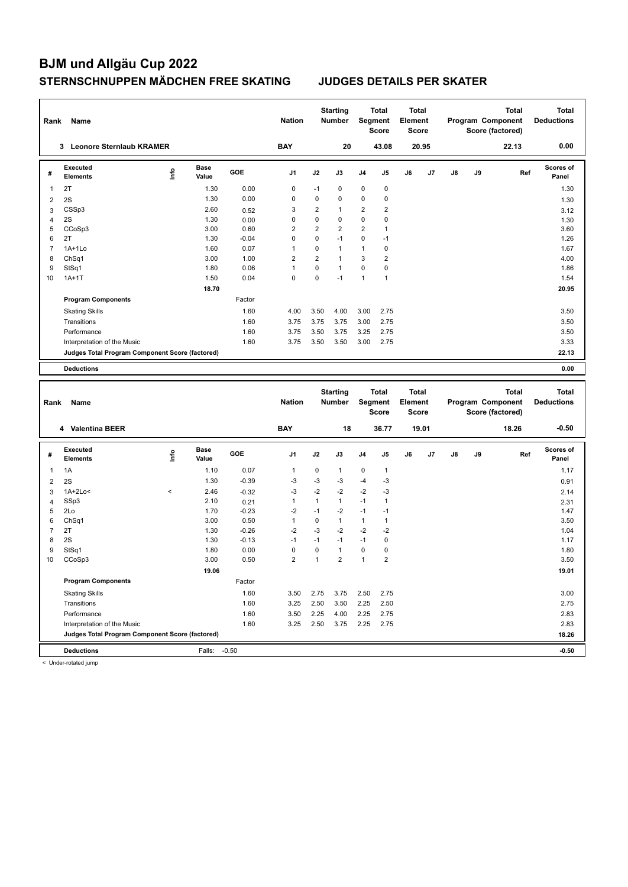| Rank           | Name                                            |       |                      |         | <b>Nation</b>           |                | <b>Starting</b><br><b>Number</b> |                         | Total<br>Segment<br>Score | <b>Total</b><br>Element<br>Score |       |    |    | Program Component<br>Score (factored) | Total        | Total<br><b>Deductions</b> |
|----------------|-------------------------------------------------|-------|----------------------|---------|-------------------------|----------------|----------------------------------|-------------------------|---------------------------|----------------------------------|-------|----|----|---------------------------------------|--------------|----------------------------|
|                | 3 Leonore Sternlaub KRAMER                      |       |                      |         | <b>BAY</b>              |                | 20                               |                         | 43.08                     |                                  | 20.95 |    |    |                                       | 22.13        | 0.00                       |
| #              | <b>Executed</b><br><b>Elements</b>              | ١nf٥  | <b>Base</b><br>Value | GOE     | J1                      | J2             | J3                               | J4                      | J5                        | J6                               | J7    | J8 | J9 |                                       | Ref          | Scores of<br>Panel         |
| 1              | 2T                                              |       | 1.30                 | 0.00    | 0                       | $-1$           | 0                                | 0                       | $\pmb{0}$                 |                                  |       |    |    |                                       |              | 1.30                       |
| $\overline{c}$ | 2S                                              |       | 1.30                 | 0.00    | 0                       | 0              | $\mathbf 0$                      | 0                       | 0                         |                                  |       |    |    |                                       |              | 1.30                       |
| 3              | CSSp3                                           |       | 2.60                 | 0.52    | 3                       | 2              | $\mathbf{1}$                     | $\overline{2}$          | $\overline{\mathbf{c}}$   |                                  |       |    |    |                                       |              | 3.12                       |
| 4              | 2S                                              |       | 1.30                 | 0.00    | 0                       | 0              | $\mathbf 0$                      | 0                       | 0                         |                                  |       |    |    |                                       |              | 1.30                       |
| 5              | CCoSp3                                          |       | 3.00                 | 0.60    | $\overline{\mathbf{c}}$ | $\overline{2}$ | $\overline{2}$                   | $\overline{\mathbf{c}}$ | $\mathbf{1}$              |                                  |       |    |    |                                       |              | 3.60                       |
| 6              | 2T                                              |       | 1.30                 | $-0.04$ | 0                       | 0              | $-1$                             | 0                       | $-1$                      |                                  |       |    |    |                                       |              | 1.26                       |
| $\overline{7}$ | $1A+1Lo$                                        |       | 1.60                 | 0.07    | 1                       | 0              | $\mathbf{1}$                     | $\mathbf{1}$            | 0                         |                                  |       |    |    |                                       |              | 1.67                       |
| 8              | ChSq1                                           |       | 3.00                 | 1.00    | $\overline{2}$          | 2              | $\mathbf{1}$                     | 3                       | $\boldsymbol{2}$          |                                  |       |    |    |                                       |              | 4.00                       |
| 9              | StSq1                                           |       | 1.80                 | 0.06    | $\mathbf{1}$            | 0              | $\mathbf{1}$                     | $\mathbf 0$             | $\pmb{0}$                 |                                  |       |    |    |                                       |              | 1.86                       |
| 10             | $1A+1T$                                         |       | 1.50                 | 0.04    | 0                       | 0              | $-1$                             | $\mathbf{1}$            | 1                         |                                  |       |    |    |                                       |              | 1.54                       |
|                |                                                 |       | 18.70                |         |                         |                |                                  |                         |                           |                                  |       |    |    |                                       |              | 20.95                      |
|                | <b>Program Components</b>                       |       |                      | Factor  |                         |                |                                  |                         |                           |                                  |       |    |    |                                       |              |                            |
|                | <b>Skating Skills</b>                           |       |                      | 1.60    | 4.00                    | 3.50           | 4.00                             | 3.00                    | 2.75                      |                                  |       |    |    |                                       |              | 3.50                       |
|                | Transitions                                     |       |                      | 1.60    | 3.75                    | 3.75           | 3.75                             | 3.00                    | 2.75                      |                                  |       |    |    |                                       |              | 3.50                       |
|                | Performance                                     |       |                      | 1.60    | 3.75                    | 3.50           | 3.75                             | 3.25                    | 2.75                      |                                  |       |    |    |                                       |              | 3.50                       |
|                | Interpretation of the Music                     |       |                      | 1.60    | 3.75                    | 3.50           | 3.50                             | 3.00                    | 2.75                      |                                  |       |    |    |                                       |              | 3.33                       |
|                | Judges Total Program Component Score (factored) |       |                      |         |                         |                |                                  |                         |                           |                                  |       |    |    |                                       |              | 22.13                      |
|                | <b>Deductions</b>                               |       |                      |         |                         |                |                                  |                         |                           |                                  |       |    |    |                                       |              | 0.00                       |
|                |                                                 |       |                      |         |                         |                |                                  |                         |                           |                                  |       |    |    |                                       |              |                            |
|                |                                                 |       |                      |         |                         |                |                                  |                         |                           |                                  |       |    |    |                                       |              |                            |
|                |                                                 |       |                      |         |                         |                |                                  |                         |                           |                                  |       |    |    |                                       |              |                            |
|                |                                                 |       |                      |         |                         |                | <b>Starting</b>                  |                         | Total                     | <b>Total</b>                     |       |    |    |                                       | <b>Total</b> | <b>Total</b>               |
| Rank           | Name                                            |       |                      |         | <b>Nation</b>           |                | <b>Number</b>                    |                         | Segment<br><b>Score</b>   | Element<br><b>Score</b>          |       |    |    | Program Component                     |              | <b>Deductions</b>          |
|                |                                                 |       |                      |         |                         |                |                                  |                         |                           |                                  |       |    |    | Score (factored)                      |              |                            |
|                | 4 Valentina BEER                                |       |                      |         | <b>BAY</b>              |                | 18                               |                         | 36.77                     |                                  | 19.01 |    |    |                                       | 18.26        | $-0.50$                    |
|                | <b>Executed</b>                                 |       | <b>Base</b>          |         |                         |                |                                  |                         |                           |                                  |       |    |    |                                       |              | Scores of                  |
| #              | <b>Elements</b>                                 | ١mfo  | Value                | GOE     | J1                      | J2             | J3                               | J4                      | J5                        | J6                               | J7    | J8 | J9 |                                       | Ref          | Panel                      |
| 1              | 1A                                              |       | 1.10                 | 0.07    | 1                       | 0              | $\mathbf{1}$                     | 0                       | $\mathbf{1}$              |                                  |       |    |    |                                       |              | 1.17                       |
| $\overline{c}$ | 2S                                              |       | 1.30                 | $-0.39$ | $-3$                    | $-3$           | -3                               | $-4$                    | $-3$                      |                                  |       |    |    |                                       |              | 0.91                       |
| 3              | $1A+2Lo<$                                       | $\,<$ | 2.46                 | $-0.32$ | $-3$                    | $-2$           | -2                               | $-2$                    | $-3$                      |                                  |       |    |    |                                       |              | 2.14                       |
| $\overline{4}$ | SSp3                                            |       | 2.10                 | 0.21    | $\mathbf{1}$            | $\mathbf{1}$   | $\mathbf{1}$                     | $-1$                    | $\mathbf{1}$              |                                  |       |    |    |                                       |              | 2.31                       |
| 5              | 2Lo                                             |       | 1.70                 | $-0.23$ | $-2$                    | $-1$           | $-2$                             | $-1$                    | $-1$                      |                                  |       |    |    |                                       |              | 1.47                       |
| 6              | Ch <sub>Sq1</sub>                               |       | 3.00                 | 0.50    | $\mathbf{1}$            | 0              | $\mathbf{1}$                     | $\mathbf{1}$            | $\mathbf{1}$              |                                  |       |    |    |                                       |              | 3.50                       |
| $\overline{7}$ | 2T                                              |       | 1.30                 | $-0.26$ | $-2$                    | $-3$           | $-2$                             | $-2$                    | $-2$                      |                                  |       |    |    |                                       |              | 1.04                       |
| 8              | 2S                                              |       | 1.30                 | $-0.13$ | $-1$                    | $-1$           | $-1$                             | $-1$                    | $\pmb{0}$                 |                                  |       |    |    |                                       |              | 1.17                       |
| 9              | StSq1                                           |       | 1.80                 | 0.00    | $\mathbf 0$             | 0              | $\mathbf{1}$                     | 0                       | 0                         |                                  |       |    |    |                                       |              | 1.80                       |
| 10             | CCoSp3                                          |       | 3.00                 | 0.50    | $\overline{2}$          | $\mathbf{1}$   | $\overline{2}$                   | $\mathbf{1}$            | $\overline{2}$            |                                  |       |    |    |                                       |              | 3.50                       |
|                |                                                 |       | 19.06                |         |                         |                |                                  |                         |                           |                                  |       |    |    |                                       |              | 19.01                      |
|                | <b>Program Components</b>                       |       |                      | Factor  |                         |                |                                  |                         |                           |                                  |       |    |    |                                       |              |                            |
|                | <b>Skating Skills</b>                           |       |                      | 1.60    | 3.50                    | 2.75           | 3.75                             | 2.50                    | 2.75                      |                                  |       |    |    |                                       |              | 3.00                       |
|                | Transitions                                     |       |                      | 1.60    | 3.25                    | 2.50           | 3.50                             | 2.25                    | 2.50                      |                                  |       |    |    |                                       |              | 2.75                       |
|                | Performance                                     |       |                      | 1.60    | 3.50                    | 2.25           | 4.00                             | 2.25                    | 2.75                      |                                  |       |    |    |                                       |              | 2.83                       |
|                | Interpretation of the Music                     |       |                      | 1.60    | 3.25                    | 2.50           | 3.75                             | 2.25                    | 2.75                      |                                  |       |    |    |                                       |              | 2.83                       |
|                | Judges Total Program Component Score (factored) |       |                      |         |                         |                |                                  |                         |                           |                                  |       |    |    |                                       |              | 18.26                      |

< Under-rotated jump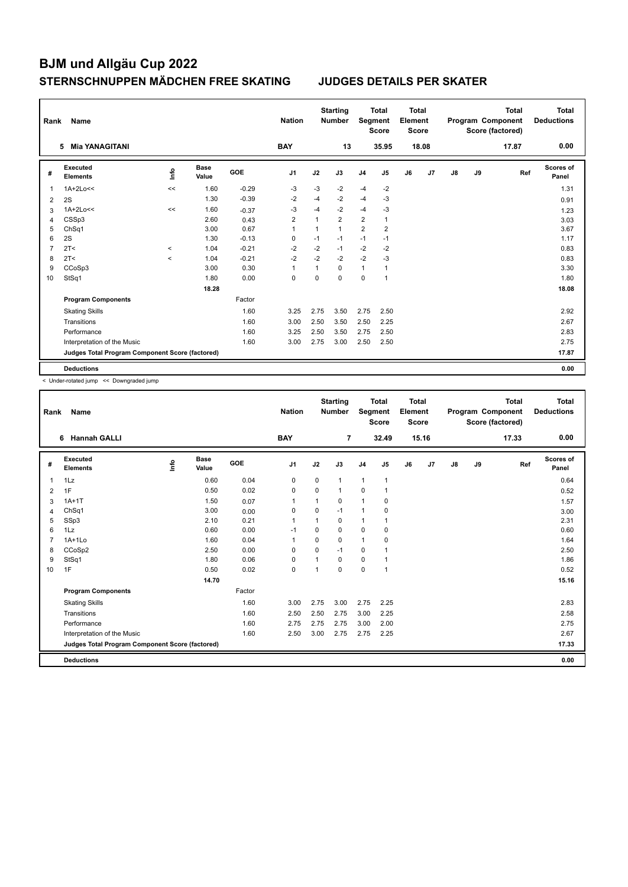| Rank | Name                                            |                     |                      |         | <b>Nation</b>  |              | <b>Starting</b><br><b>Number</b> | Segment        | <b>Total</b><br><b>Score</b> | <b>Total</b><br>Element<br><b>Score</b> |       |               |    | <b>Total</b><br>Program Component<br>Score (factored) | <b>Total</b><br><b>Deductions</b> |
|------|-------------------------------------------------|---------------------|----------------------|---------|----------------|--------------|----------------------------------|----------------|------------------------------|-----------------------------------------|-------|---------------|----|-------------------------------------------------------|-----------------------------------|
|      | <b>Mia YANAGITANI</b><br>5                      |                     |                      |         | <b>BAY</b>     |              | 13                               |                | 35.95                        |                                         | 18.08 |               |    | 17.87                                                 | 0.00                              |
| #    | <b>Executed</b><br><b>Elements</b>              | ۴ů                  | <b>Base</b><br>Value | GOE     | J <sub>1</sub> | J2           | J3                               | J <sub>4</sub> | J5                           | J6                                      | J7    | $\mathsf{J}8$ | J9 | Ref                                                   | <b>Scores of</b><br>Panel         |
| 1    | $1A+2Lo<<$                                      | <<                  | 1.60                 | $-0.29$ | $-3$           | -3           | $-2$                             | $-4$           | $-2$                         |                                         |       |               |    |                                                       | 1.31                              |
| 2    | 2S                                              |                     | 1.30                 | $-0.39$ | $-2$           | $-4$         | $-2$                             | $-4$           | $-3$                         |                                         |       |               |    |                                                       | 0.91                              |
| 3    | $1A+2Lo<<$                                      | <<                  | 1.60                 | $-0.37$ | $-3$           | $-4$         | $-2$                             | $-4$           | -3                           |                                         |       |               |    |                                                       | 1.23                              |
| 4    | CSSp3                                           |                     | 2.60                 | 0.43    | $\overline{2}$ | $\mathbf{1}$ | $\overline{2}$                   | $\overline{2}$ | $\mathbf{1}$                 |                                         |       |               |    |                                                       | 3.03                              |
| 5    | ChSq1                                           |                     | 3.00                 | 0.67    | $\overline{1}$ | 1            | $\mathbf{1}$                     | 2              | $\overline{2}$               |                                         |       |               |    |                                                       | 3.67                              |
| 6    | 2S                                              |                     | 1.30                 | $-0.13$ | 0              | $-1$         | $-1$                             | $-1$           | $-1$                         |                                         |       |               |    |                                                       | 1.17                              |
| 7    | 2T <                                            | $\hat{\phantom{a}}$ | 1.04                 | $-0.21$ | $-2$           | $-2$         | $-1$                             | $-2$           | $-2$                         |                                         |       |               |    |                                                       | 0.83                              |
| 8    | 2T <                                            | $\prec$             | 1.04                 | $-0.21$ | $-2$           | $-2$         | $-2$                             | $-2$           | $-3$                         |                                         |       |               |    |                                                       | 0.83                              |
| 9    | CCoSp3                                          |                     | 3.00                 | 0.30    | $\overline{1}$ | 1            | $\Omega$                         | 1              | 1                            |                                         |       |               |    |                                                       | 3.30                              |
| 10   | StSq1                                           |                     | 1.80                 | 0.00    | 0              | $\Omega$     | $\Omega$                         | $\mathbf 0$    | $\mathbf{1}$                 |                                         |       |               |    |                                                       | 1.80                              |
|      |                                                 |                     | 18.28                |         |                |              |                                  |                |                              |                                         |       |               |    |                                                       | 18.08                             |
|      | <b>Program Components</b>                       |                     |                      | Factor  |                |              |                                  |                |                              |                                         |       |               |    |                                                       |                                   |
|      | <b>Skating Skills</b>                           |                     |                      | 1.60    | 3.25           | 2.75         | 3.50                             | 2.75           | 2.50                         |                                         |       |               |    |                                                       | 2.92                              |
|      | Transitions                                     |                     |                      | 1.60    | 3.00           | 2.50         | 3.50                             | 2.50           | 2.25                         |                                         |       |               |    |                                                       | 2.67                              |
|      | Performance                                     |                     |                      | 1.60    | 3.25           | 2.50         | 3.50                             | 2.75           | 2.50                         |                                         |       |               |    |                                                       | 2.83                              |
|      | Interpretation of the Music                     |                     |                      | 1.60    | 3.00           | 2.75         | 3.00                             | 2.50           | 2.50                         |                                         |       |               |    |                                                       | 2.75                              |
|      | Judges Total Program Component Score (factored) |                     |                      |         |                |              |                                  |                |                              |                                         |       |               |    |                                                       | 17.87                             |
|      | <b>Deductions</b>                               |                     |                      |         |                |              |                                  |                |                              |                                         |       |               |    |                                                       | 0.00                              |

< Under-rotated jump << Downgraded jump

| Rank           | <b>Name</b>                                     |    |                      |        | <b>Nation</b>  |                | <b>Starting</b><br><b>Number</b> | Segment        | <b>Total</b><br><b>Score</b> | Total<br>Element<br><b>Score</b> |       |               |    | <b>Total</b><br>Program Component<br>Score (factored) | <b>Total</b><br><b>Deductions</b> |
|----------------|-------------------------------------------------|----|----------------------|--------|----------------|----------------|----------------------------------|----------------|------------------------------|----------------------------------|-------|---------------|----|-------------------------------------------------------|-----------------------------------|
|                | <b>Hannah GALLI</b><br>6                        |    |                      |        | <b>BAY</b>     |                | $\overline{7}$                   |                | 32.49                        |                                  | 15.16 |               |    | 17.33                                                 | 0.00                              |
| #              | <b>Executed</b><br><b>Elements</b>              | ۴ô | <b>Base</b><br>Value | GOE    | J <sub>1</sub> | J2             | J3                               | J <sub>4</sub> | J <sub>5</sub>               | J6                               | J7    | $\mathsf{J}8$ | J9 | Ref                                                   | <b>Scores of</b><br>Panel         |
| $\overline{1}$ | 1Lz                                             |    | 0.60                 | 0.04   | 0              | $\mathbf 0$    | $\mathbf{1}$                     | $\mathbf{1}$   | $\mathbf{1}$                 |                                  |       |               |    |                                                       | 0.64                              |
| $\overline{2}$ | 1F                                              |    | 0.50                 | 0.02   | $\mathbf 0$    | 0              | $\mathbf{1}$                     | $\mathbf 0$    | 1                            |                                  |       |               |    |                                                       | 0.52                              |
| 3              | $1A+1T$                                         |    | 1.50                 | 0.07   | 1              | $\mathbf{1}$   | 0                                | $\overline{1}$ | 0                            |                                  |       |               |    |                                                       | 1.57                              |
| 4              | ChSq1                                           |    | 3.00                 | 0.00   | $\mathbf 0$    | $\Omega$       | $-1$                             | $\mathbf{1}$   | $\mathbf 0$                  |                                  |       |               |    |                                                       | 3.00                              |
| 5              | SSp3                                            |    | 2.10                 | 0.21   | 1              |                | 0                                | $\mathbf{1}$   | 1                            |                                  |       |               |    |                                                       | 2.31                              |
| 6              | 1Lz                                             |    | 0.60                 | 0.00   | $-1$           | $\Omega$       | $\Omega$                         | $\mathbf 0$    | 0                            |                                  |       |               |    |                                                       | 0.60                              |
| $\overline{7}$ | $1A+1Lo$                                        |    | 1.60                 | 0.04   | 1              | $\Omega$       | 0                                | $\mathbf{1}$   | $\mathbf 0$                  |                                  |       |               |    |                                                       | 1.64                              |
| 8              | CCoSp2                                          |    | 2.50                 | 0.00   | $\Omega$       | $\Omega$       | $-1$                             | 0              |                              |                                  |       |               |    |                                                       | 2.50                              |
| 9              | StSq1                                           |    | 1.80                 | 0.06   | 0              |                | 0                                | 0              | 1                            |                                  |       |               |    |                                                       | 1.86                              |
| 10             | 1F                                              |    | 0.50                 | 0.02   | $\mathbf 0$    | $\overline{ }$ | 0                                | $\mathbf 0$    | 1                            |                                  |       |               |    |                                                       | 0.52                              |
|                |                                                 |    | 14.70                |        |                |                |                                  |                |                              |                                  |       |               |    |                                                       | 15.16                             |
|                | <b>Program Components</b>                       |    |                      | Factor |                |                |                                  |                |                              |                                  |       |               |    |                                                       |                                   |
|                | <b>Skating Skills</b>                           |    |                      | 1.60   | 3.00           | 2.75           | 3.00                             | 2.75           | 2.25                         |                                  |       |               |    |                                                       | 2.83                              |
|                | Transitions                                     |    |                      | 1.60   | 2.50           | 2.50           | 2.75                             | 3.00           | 2.25                         |                                  |       |               |    |                                                       | 2.58                              |
|                | Performance                                     |    |                      | 1.60   | 2.75           | 2.75           | 2.75                             | 3.00           | 2.00                         |                                  |       |               |    |                                                       | 2.75                              |
|                | Interpretation of the Music                     |    |                      | 1.60   | 2.50           | 3.00           | 2.75                             | 2.75           | 2.25                         |                                  |       |               |    |                                                       | 2.67                              |
|                | Judges Total Program Component Score (factored) |    |                      |        |                |                |                                  |                |                              |                                  |       |               |    |                                                       | 17.33                             |
|                | <b>Deductions</b>                               |    |                      |        |                |                |                                  |                |                              |                                  |       |               |    |                                                       | 0.00                              |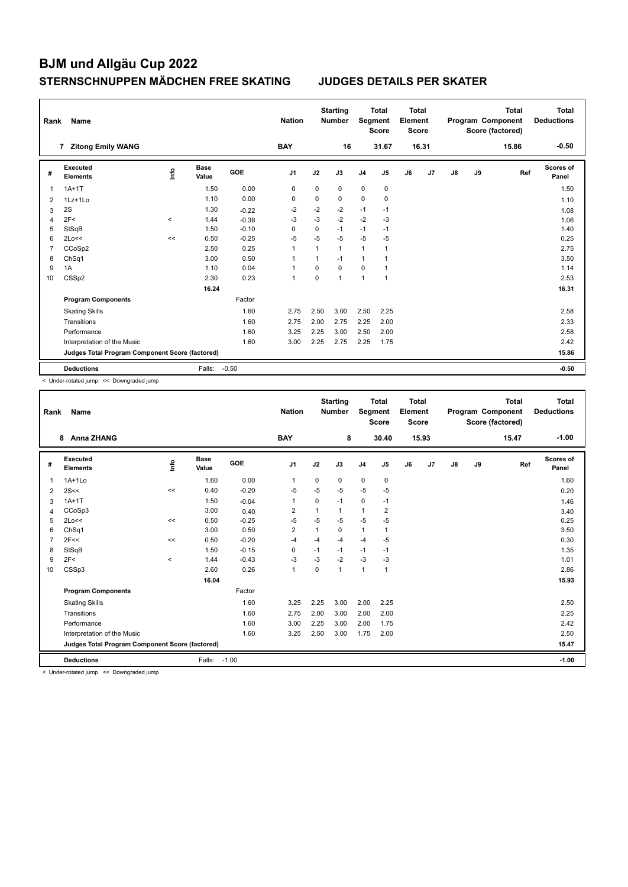| Rank           | Name                                            |       |                      |         | <b>Nation</b>  |             | <b>Starting</b><br><b>Number</b> | Segment        | <b>Total</b><br><b>Score</b> | <b>Total</b><br>Element<br><b>Score</b> |                |    |    | <b>Total</b><br>Program Component<br>Score (factored) | <b>Total</b><br><b>Deductions</b> |
|----------------|-------------------------------------------------|-------|----------------------|---------|----------------|-------------|----------------------------------|----------------|------------------------------|-----------------------------------------|----------------|----|----|-------------------------------------------------------|-----------------------------------|
|                | <b>Zitong Emily WANG</b><br>7                   |       |                      |         | <b>BAY</b>     |             | 16                               |                | 31.67                        |                                         | 16.31          |    |    | 15.86                                                 | $-0.50$                           |
| #              | Executed<br><b>Elements</b>                     | Info  | <b>Base</b><br>Value | GOE     | J1             | J2          | J3                               | J <sub>4</sub> | J <sub>5</sub>               | J6                                      | J <sub>7</sub> | J8 | J9 | Ref                                                   | <b>Scores of</b><br>Panel         |
| 1              | $1A+1T$                                         |       | 1.50                 | 0.00    | $\mathbf 0$    | 0           | 0                                | 0              | 0                            |                                         |                |    |    |                                                       | 1.50                              |
| 2              | 1Lz+1Lo                                         |       | 1.10                 | 0.00    | 0              | $\mathbf 0$ | $\mathbf 0$                      | $\mathbf 0$    | $\mathbf 0$                  |                                         |                |    |    |                                                       | 1.10                              |
| 3              | 2S                                              |       | 1.30                 | $-0.22$ | $-2$           | $-2$        | $-2$                             | $-1$           | $-1$                         |                                         |                |    |    |                                                       | 1.08                              |
| $\overline{4}$ | 2F<                                             | $\,<$ | 1.44                 | $-0.38$ | $-3$           | $-3$        | $-2$                             | $-2$           | $-3$                         |                                         |                |    |    |                                                       | 1.06                              |
| 5              | StSqB                                           |       | 1.50                 | $-0.10$ | $\Omega$       | $\mathbf 0$ | $-1$                             | $-1$           | $-1$                         |                                         |                |    |    |                                                       | 1.40                              |
| 6              | 2Lo<<                                           | <<    | 0.50                 | $-0.25$ | $-5$           | $-5$        | $-5$                             | $-5$           | $-5$                         |                                         |                |    |    |                                                       | 0.25                              |
| 7              | CCoSp2                                          |       | 2.50                 | 0.25    | 1              |             | $\mathbf{1}$                     | $\mathbf{1}$   | 1                            |                                         |                |    |    |                                                       | 2.75                              |
| 8              | ChSq1                                           |       | 3.00                 | 0.50    | 1              |             | $-1$                             | 1              | 1                            |                                         |                |    |    |                                                       | 3.50                              |
| 9              | 1A                                              |       | 1.10                 | 0.04    | $\overline{1}$ | 0           | $\mathbf 0$                      | $\mathbf 0$    | $\mathbf{1}$                 |                                         |                |    |    |                                                       | 1.14                              |
| 10             | CSS <sub>p2</sub>                               |       | 2.30                 | 0.23    | 1              | $\Omega$    | $\mathbf{1}$                     | $\mathbf{1}$   | $\mathbf{1}$                 |                                         |                |    |    |                                                       | 2.53                              |
|                |                                                 |       | 16.24                |         |                |             |                                  |                |                              |                                         |                |    |    |                                                       | 16.31                             |
|                | <b>Program Components</b>                       |       |                      | Factor  |                |             |                                  |                |                              |                                         |                |    |    |                                                       |                                   |
|                | <b>Skating Skills</b>                           |       |                      | 1.60    | 2.75           | 2.50        | 3.00                             | 2.50           | 2.25                         |                                         |                |    |    |                                                       | 2.58                              |
|                | Transitions                                     |       |                      | 1.60    | 2.75           | 2.00        | 2.75                             | 2.25           | 2.00                         |                                         |                |    |    |                                                       | 2.33                              |
|                | Performance                                     |       |                      | 1.60    | 3.25           | 2.25        | 3.00                             | 2.50           | 2.00                         |                                         |                |    |    |                                                       | 2.58                              |
|                | Interpretation of the Music                     |       |                      | 1.60    | 3.00           | 2.25        | 2.75                             | 2.25           | 1.75                         |                                         |                |    |    |                                                       | 2.42                              |
|                | Judges Total Program Component Score (factored) |       |                      |         |                |             |                                  |                |                              |                                         |                |    |    |                                                       | 15.86                             |
|                | <b>Deductions</b>                               |       | Falls:               | $-0.50$ |                |             |                                  |                |                              |                                         |                |    |    |                                                       | $-0.50$                           |

< Under-rotated jump << Downgraded jump

| Rank           | Name                                            |         |               |         | <b>Nation</b>  |              | <b>Starting</b><br><b>Number</b> | Segment        | <b>Total</b><br><b>Score</b> | Total<br>Element<br><b>Score</b> |       |               |    | <b>Total</b><br>Program Component<br>Score (factored) | Total<br><b>Deductions</b> |
|----------------|-------------------------------------------------|---------|---------------|---------|----------------|--------------|----------------------------------|----------------|------------------------------|----------------------------------|-------|---------------|----|-------------------------------------------------------|----------------------------|
|                | <b>Anna ZHANG</b><br>8                          |         |               |         | <b>BAY</b>     |              | 8                                |                | 30.40                        |                                  | 15.93 |               |    | 15.47                                                 | $-1.00$                    |
| #              | Executed<br><b>Elements</b>                     | Info    | Base<br>Value | GOE     | J1             | J2           | J3                               | J <sub>4</sub> | J5                           | J6                               | J7    | $\mathsf{J}8$ | J9 | Ref                                                   | Scores of<br>Panel         |
| $\overline{1}$ | $1A+1Lo$                                        |         | 1.60          | 0.00    | 1              | $\Omega$     | 0                                | $\mathbf 0$    | $\mathbf 0$                  |                                  |       |               |    |                                                       | 1.60                       |
| 2              | 2S<<                                            | <<      | 0.40          | $-0.20$ | $-5$           | $-5$         | $-5$                             | $-5$           | $-5$                         |                                  |       |               |    |                                                       | 0.20                       |
| 3              | $1A+1T$                                         |         | 1.50          | $-0.04$ | $\mathbf{1}$   | $\Omega$     | $-1$                             | $\mathbf 0$    | $-1$                         |                                  |       |               |    |                                                       | 1.46                       |
| 4              | CCoSp3                                          |         | 3.00          | 0.40    | $\overline{2}$ |              | $\mathbf{1}$                     | $\overline{1}$ | $\overline{2}$               |                                  |       |               |    |                                                       | 3.40                       |
| 5              | 2Lo<<                                           | <<      | 0.50          | $-0.25$ | -5             | $-5$         | $-5$                             | $-5$           | $-5$                         |                                  |       |               |    |                                                       | 0.25                       |
| 6              | ChSq1                                           |         | 3.00          | 0.50    | $\overline{2}$ | $\mathbf{1}$ | 0                                | $\mathbf{1}$   | 1                            |                                  |       |               |    |                                                       | 3.50                       |
| $\overline{7}$ | 2F<<                                            | <<      | 0.50          | $-0.20$ | $-4$           | $-4$         | $-4$                             | $-4$           | $-5$                         |                                  |       |               |    |                                                       | 0.30                       |
| 8              | StSqB                                           |         | 1.50          | $-0.15$ | $\mathbf 0$    | $-1$         | $-1$                             | $-1$           | $-1$                         |                                  |       |               |    |                                                       | 1.35                       |
| 9              | 2F<                                             | $\prec$ | 1.44          | $-0.43$ | $-3$           | $-3$         | $-2$                             | $-3$           | -3                           |                                  |       |               |    |                                                       | 1.01                       |
| 10             | CSSp3                                           |         | 2.60          | 0.26    | $\mathbf{1}$   | 0            | $\mathbf{1}$                     | $\overline{1}$ | 1                            |                                  |       |               |    |                                                       | 2.86                       |
|                |                                                 |         | 16.04         |         |                |              |                                  |                |                              |                                  |       |               |    |                                                       | 15.93                      |
|                | <b>Program Components</b>                       |         |               | Factor  |                |              |                                  |                |                              |                                  |       |               |    |                                                       |                            |
|                | <b>Skating Skills</b>                           |         |               | 1.60    | 3.25           | 2.25         | 3.00                             | 2.00           | 2.25                         |                                  |       |               |    |                                                       | 2.50                       |
|                | Transitions                                     |         |               | 1.60    | 2.75           | 2.00         | 3.00                             | 2.00           | 2.00                         |                                  |       |               |    |                                                       | 2.25                       |
|                | Performance                                     |         |               | 1.60    | 3.00           | 2.25         | 3.00                             | 2.00           | 1.75                         |                                  |       |               |    |                                                       | 2.42                       |
|                | Interpretation of the Music                     |         |               | 1.60    | 3.25           | 2.50         | 3.00                             | 1.75           | 2.00                         |                                  |       |               |    |                                                       | 2.50                       |
|                | Judges Total Program Component Score (factored) |         |               |         |                |              |                                  |                |                              |                                  |       |               |    |                                                       | 15.47                      |
|                | <b>Deductions</b>                               |         | Falls:        | $-1.00$ |                |              |                                  |                |                              |                                  |       |               |    |                                                       | $-1.00$                    |

< Under-rotated jump << Downgraded jump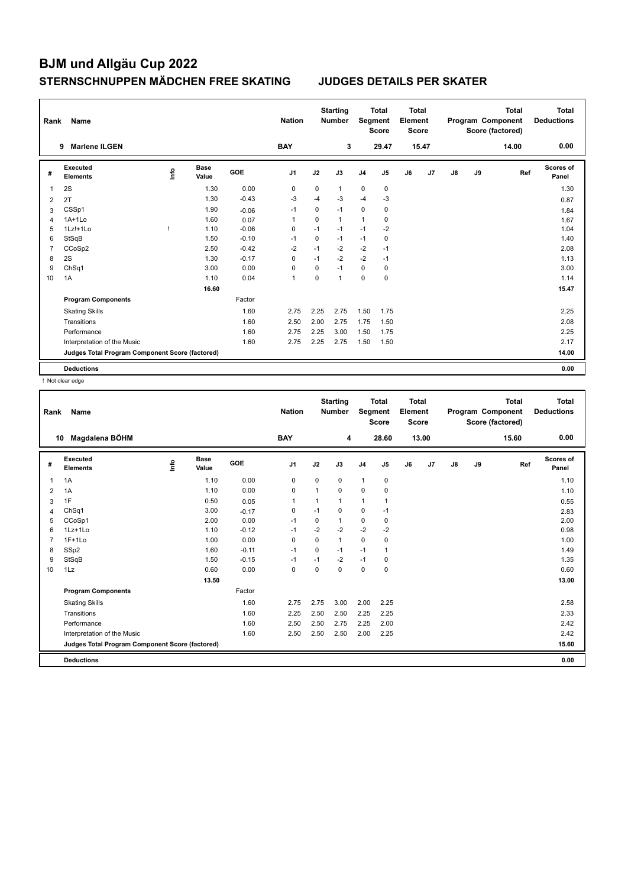| Rank           | Name                                            |      | <b>Nation</b>        |         | <b>Starting</b><br><b>Number</b> | Segment     | <b>Total</b><br><b>Score</b> | <b>Total</b><br><b>Element</b><br><b>Score</b> |                |    |                | <b>Total</b><br>Program Component<br>Score (factored) | <b>Total</b><br><b>Deductions</b> |       |                    |
|----------------|-------------------------------------------------|------|----------------------|---------|----------------------------------|-------------|------------------------------|------------------------------------------------|----------------|----|----------------|-------------------------------------------------------|-----------------------------------|-------|--------------------|
|                | <b>Marlene ILGEN</b><br>9                       |      |                      |         | <b>BAY</b>                       |             | 3                            |                                                | 29.47          |    | 15.47          |                                                       |                                   | 14.00 | 0.00               |
| #              | <b>Executed</b><br><b>Elements</b>              | lnfo | <b>Base</b><br>Value | GOE     | J <sub>1</sub>                   | J2          | J3                           | J <sub>4</sub>                                 | J <sub>5</sub> | J6 | J <sub>7</sub> | J8                                                    | J9                                | Ref   | Scores of<br>Panel |
| 1              | 2S                                              |      | 1.30                 | 0.00    | 0                                | 0           | $\mathbf{1}$                 | 0                                              | 0              |    |                |                                                       |                                   |       | 1.30               |
| $\overline{2}$ | 2T                                              |      | 1.30                 | $-0.43$ | $-3$                             | $-4$        | $-3$                         | $-4$                                           | $-3$           |    |                |                                                       |                                   |       | 0.87               |
| 3              | CSSp1                                           |      | 1.90                 | $-0.06$ | $-1$                             | 0           | $-1$                         | $\mathbf 0$                                    | $\pmb{0}$      |    |                |                                                       |                                   |       | 1.84               |
| 4              | $1A+1Lo$                                        |      | 1.60                 | 0.07    | 1                                | 0           | 1                            | 1                                              | 0              |    |                |                                                       |                                   |       | 1.67               |
| 5              | 1Lz!+1Lo                                        |      | 1.10                 | $-0.06$ | 0                                | $-1$        | $-1$                         | $-1$                                           | $-2$           |    |                |                                                       |                                   |       | 1.04               |
| 6              | StSqB                                           |      | 1.50                 | $-0.10$ | -1                               | $\mathbf 0$ | $-1$                         | $-1$                                           | $\mathbf 0$    |    |                |                                                       |                                   |       | 1.40               |
| $\overline{7}$ | CCoSp2                                          |      | 2.50                 | $-0.42$ | $-2$                             | $-1$        | $-2$                         | $-2$                                           | $-1$           |    |                |                                                       |                                   |       | 2.08               |
| 8              | 2S                                              |      | 1.30                 | $-0.17$ | 0                                | $-1$        | $-2$                         | $-2$                                           | $-1$           |    |                |                                                       |                                   |       | 1.13               |
| 9              | ChSq1                                           |      | 3.00                 | 0.00    | 0                                | 0           | $-1$                         | $\mathbf 0$                                    | 0              |    |                |                                                       |                                   |       | 3.00               |
| 10             | 1A                                              |      | 1.10                 | 0.04    | $\overline{1}$                   | $\Omega$    | $\mathbf{1}$                 | $\mathbf 0$                                    | $\mathbf 0$    |    |                |                                                       |                                   |       | 1.14               |
|                |                                                 |      | 16.60                |         |                                  |             |                              |                                                |                |    |                |                                                       |                                   |       | 15.47              |
|                | <b>Program Components</b>                       |      |                      | Factor  |                                  |             |                              |                                                |                |    |                |                                                       |                                   |       |                    |
|                | <b>Skating Skills</b>                           |      |                      | 1.60    | 2.75                             | 2.25        | 2.75                         | 1.50                                           | 1.75           |    |                |                                                       |                                   |       | 2.25               |
|                | Transitions                                     |      |                      | 1.60    | 2.50                             | 2.00        | 2.75                         | 1.75                                           | 1.50           |    |                |                                                       |                                   |       | 2.08               |
|                | Performance                                     |      |                      | 1.60    | 2.75                             | 2.25        | 3.00                         | 1.50                                           | 1.75           |    |                |                                                       |                                   |       | 2.25               |
|                | Interpretation of the Music                     |      |                      | 1.60    | 2.75                             | 2.25        | 2.75                         | 1.50                                           | 1.50           |    |                |                                                       |                                   |       | 2.17               |
|                | Judges Total Program Component Score (factored) |      |                      |         |                                  |             |                              |                                                |                |    |                |                                                       |                                   |       | 14.00              |
|                | <b>Deductions</b>                               |      |                      |         |                                  |             |                              |                                                |                |    |                |                                                       |                                   |       | 0.00               |

! Not clear edge

| Rank           | Name                                            |           |               |         | <b>Nation</b>  |              | <b>Starting</b><br><b>Number</b> | Segment        | <b>Total</b><br><b>Score</b> | <b>Total</b><br>Element<br><b>Score</b> |       |    |    | <b>Total</b><br>Program Component<br>Score (factored) | <b>Total</b><br><b>Deductions</b> |
|----------------|-------------------------------------------------|-----------|---------------|---------|----------------|--------------|----------------------------------|----------------|------------------------------|-----------------------------------------|-------|----|----|-------------------------------------------------------|-----------------------------------|
| 10             | Magdalena BÖHM                                  |           |               |         | <b>BAY</b>     |              | 4                                |                | 28.60                        |                                         | 13.00 |    |    | 15.60                                                 | 0.00                              |
| #              | Executed<br><b>Elements</b>                     | <u>fo</u> | Base<br>Value | GOE     | J <sub>1</sub> | J2           | J3                               | J <sub>4</sub> | J5                           | J6                                      | J7    | J8 | J9 | Ref                                                   | <b>Scores of</b><br>Panel         |
| $\mathbf{1}$   | 1A                                              |           | 1.10          | 0.00    | 0              | $\mathbf 0$  | 0                                | $\mathbf{1}$   | $\pmb{0}$                    |                                         |       |    |    |                                                       | 1.10                              |
| 2              | 1A                                              |           | 1.10          | 0.00    | $\mathbf 0$    | $\mathbf{1}$ | 0                                | $\mathbf 0$    | $\mathbf 0$                  |                                         |       |    |    |                                                       | 1.10                              |
| 3              | 1F                                              |           | 0.50          | 0.05    | $\mathbf 1$    | 1            | 1                                | $\mathbf{1}$   | 1                            |                                         |       |    |    |                                                       | 0.55                              |
| 4              | ChSq1                                           |           | 3.00          | $-0.17$ | 0              | $-1$         | 0                                | 0              | $-1$                         |                                         |       |    |    |                                                       | 2.83                              |
| 5              | CCoSp1                                          |           | 2.00          | 0.00    | $-1$           | $\mathbf 0$  | 1                                | $\mathbf 0$    | $\pmb{0}$                    |                                         |       |    |    |                                                       | 2.00                              |
| 6              | 1Lz+1Lo                                         |           | 1.10          | $-0.12$ | $-1$           | $-2$         | $-2$                             | $-2$           | $-2$                         |                                         |       |    |    |                                                       | 0.98                              |
| $\overline{7}$ | $1F+1Lo$                                        |           | 1.00          | 0.00    | $\mathbf 0$    | $\Omega$     | $\mathbf{1}$                     | $\mathbf 0$    | $\mathbf 0$                  |                                         |       |    |    |                                                       | 1.00                              |
| 8              | SSp2                                            |           | 1.60          | $-0.11$ | $-1$           | $\Omega$     | $-1$                             | $-1$           | 1                            |                                         |       |    |    |                                                       | 1.49                              |
| 9              | StSqB                                           |           | 1.50          | $-0.15$ | $-1$           | $-1$         | $-2$                             | $-1$           | 0                            |                                         |       |    |    |                                                       | 1.35                              |
| 10             | 1Lz                                             |           | 0.60          | 0.00    | $\mathbf 0$    | $\mathbf 0$  | 0                                | $\mathbf 0$    | $\mathbf 0$                  |                                         |       |    |    |                                                       | 0.60                              |
|                |                                                 |           | 13.50         |         |                |              |                                  |                |                              |                                         |       |    |    |                                                       | 13.00                             |
|                | <b>Program Components</b>                       |           |               | Factor  |                |              |                                  |                |                              |                                         |       |    |    |                                                       |                                   |
|                | <b>Skating Skills</b>                           |           |               | 1.60    | 2.75           | 2.75         | 3.00                             | 2.00           | 2.25                         |                                         |       |    |    |                                                       | 2.58                              |
|                | Transitions                                     |           |               | 1.60    | 2.25           | 2.50         | 2.50                             | 2.25           | 2.25                         |                                         |       |    |    |                                                       | 2.33                              |
|                | Performance                                     |           |               | 1.60    | 2.50           | 2.50         | 2.75                             | 2.25           | 2.00                         |                                         |       |    |    |                                                       | 2.42                              |
|                | Interpretation of the Music                     |           |               | 1.60    | 2.50           | 2.50         | 2.50                             | 2.00           | 2.25                         |                                         |       |    |    |                                                       | 2.42                              |
|                | Judges Total Program Component Score (factored) |           |               |         |                |              |                                  |                |                              |                                         |       |    |    |                                                       | 15.60                             |
|                | <b>Deductions</b>                               |           |               |         |                |              |                                  |                |                              |                                         |       |    |    |                                                       | 0.00                              |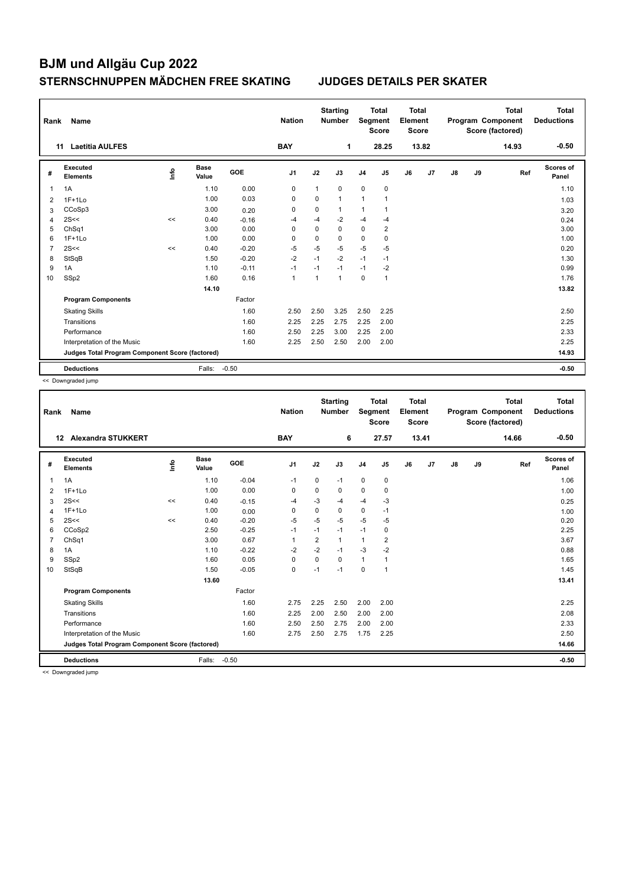| Rank | Name                                            |    |                      |         | <b>Nation</b>  |              | <b>Starting</b><br><b>Number</b> | Segment        | <b>Total</b><br><b>Score</b> | <b>Total</b><br>Element<br><b>Score</b> |       |               |    | Total<br>Program Component<br>Score (factored) | <b>Total</b><br><b>Deductions</b> |
|------|-------------------------------------------------|----|----------------------|---------|----------------|--------------|----------------------------------|----------------|------------------------------|-----------------------------------------|-------|---------------|----|------------------------------------------------|-----------------------------------|
|      | <b>Laetitia AULFES</b><br>11                    |    |                      |         | <b>BAY</b>     |              | 1                                |                | 28.25                        |                                         | 13.82 |               |    | 14.93                                          | $-0.50$                           |
| #    | <b>Executed</b><br><b>Elements</b>              | ۴ů | <b>Base</b><br>Value | GOE     | J <sub>1</sub> | J2           | J3                               | J <sub>4</sub> | J5                           | J6                                      | J7    | $\mathsf{J}8$ | J9 | Ref                                            | <b>Scores of</b><br>Panel         |
| 1    | 1A                                              |    | 1.10                 | 0.00    | 0              | 1            | 0                                | 0              | 0                            |                                         |       |               |    |                                                | 1.10                              |
| 2    | $1F+1Lo$                                        |    | 1.00                 | 0.03    | 0              | $\mathbf 0$  | $\mathbf{1}$                     | $\mathbf{1}$   |                              |                                         |       |               |    |                                                | 1.03                              |
| 3    | CCoSp3                                          |    | 3.00                 | 0.20    | 0              | 0            | 1                                | 1              | 1                            |                                         |       |               |    |                                                | 3.20                              |
| 4    | 2S<<                                            | << | 0.40                 | $-0.16$ | $-4$           | $-4$         | $-2$                             | $-4$           | -4                           |                                         |       |               |    |                                                | 0.24                              |
| 5    | ChSq1                                           |    | 3.00                 | 0.00    | $\Omega$       | $\Omega$     | $\Omega$                         | 0              | $\overline{2}$               |                                         |       |               |    |                                                | 3.00                              |
| 6    | $1F+1Lo$                                        |    | 1.00                 | 0.00    | 0              | $\mathbf 0$  | $\mathbf 0$                      | 0              | 0                            |                                         |       |               |    |                                                | 1.00                              |
| 7    | 2S<<                                            | << | 0.40                 | $-0.20$ | $-5$           | $-5$         | $-5$                             | $-5$           | $-5$                         |                                         |       |               |    |                                                | 0.20                              |
| 8    | StSqB                                           |    | 1.50                 | $-0.20$ | $-2$           | $-1$         | $-2$                             | $-1$           | $-1$                         |                                         |       |               |    |                                                | 1.30                              |
| 9    | 1A                                              |    | 1.10                 | $-0.11$ | $-1$           | $-1$         | $-1$                             | $-1$           | -2                           |                                         |       |               |    |                                                | 0.99                              |
| 10   | SSp2                                            |    | 1.60                 | 0.16    | $\mathbf{1}$   | $\mathbf{1}$ | $\mathbf{1}$                     | $\mathbf 0$    | $\mathbf{1}$                 |                                         |       |               |    |                                                | 1.76                              |
|      |                                                 |    | 14.10                |         |                |              |                                  |                |                              |                                         |       |               |    |                                                | 13.82                             |
|      | <b>Program Components</b>                       |    |                      | Factor  |                |              |                                  |                |                              |                                         |       |               |    |                                                |                                   |
|      | <b>Skating Skills</b>                           |    |                      | 1.60    | 2.50           | 2.50         | 3.25                             | 2.50           | 2.25                         |                                         |       |               |    |                                                | 2.50                              |
|      | Transitions                                     |    |                      | 1.60    | 2.25           | 2.25         | 2.75                             | 2.25           | 2.00                         |                                         |       |               |    |                                                | 2.25                              |
|      | Performance                                     |    |                      | 1.60    | 2.50           | 2.25         | 3.00                             | 2.25           | 2.00                         |                                         |       |               |    |                                                | 2.33                              |
|      | Interpretation of the Music                     |    |                      | 1.60    | 2.25           | 2.50         | 2.50                             | 2.00           | 2.00                         |                                         |       |               |    |                                                | 2.25                              |
|      | Judges Total Program Component Score (factored) |    |                      |         |                |              |                                  |                |                              |                                         |       |               |    |                                                | 14.93                             |
|      | <b>Deductions</b>                               |    | Falls:               | $-0.50$ |                |              |                                  |                |                              |                                         |       |               |    |                                                | $-0.50$                           |

<< Downgraded jump

| Rank           | Name                                            |         |                      |         | <b>Nation</b>  |                | <b>Starting</b><br><b>Number</b> | Segment        | <b>Total</b><br><b>Score</b> | <b>Total</b><br>Element<br>Score |       |               |    | <b>Total</b><br>Program Component<br>Score (factored) | <b>Total</b><br><b>Deductions</b> |
|----------------|-------------------------------------------------|---------|----------------------|---------|----------------|----------------|----------------------------------|----------------|------------------------------|----------------------------------|-------|---------------|----|-------------------------------------------------------|-----------------------------------|
|                | <b>Alexandra STUKKERT</b><br>12                 |         |                      |         | <b>BAY</b>     |                | 6                                |                | 27.57                        |                                  | 13.41 |               |    | 14.66                                                 | $-0.50$                           |
| #              | Executed<br><b>Elements</b>                     | ١rfo    | <b>Base</b><br>Value | GOE     | J <sub>1</sub> | J2             | J3                               | J <sub>4</sub> | J5                           | J6                               | J7    | $\mathsf{J}8$ | J9 | Ref                                                   | Scores of<br>Panel                |
| 1              | 1A                                              |         | 1.10                 | $-0.04$ | $-1$           | $\mathbf 0$    | $-1$                             | $\mathbf 0$    | $\mathbf 0$                  |                                  |       |               |    |                                                       | 1.06                              |
| 2              | $1F+1Lo$                                        |         | 1.00                 | 0.00    | 0              | $\mathbf 0$    | 0                                | $\mathbf 0$    | $\mathbf 0$                  |                                  |       |               |    |                                                       | 1.00                              |
| 3              | 2S<<                                            | $\prec$ | 0.40                 | $-0.15$ | -4             | $-3$           | -4                               | $-4$           | -3                           |                                  |       |               |    |                                                       | 0.25                              |
| 4              | $1F+1Lo$                                        |         | 1.00                 | 0.00    | 0              | $\mathbf 0$    | 0                                | $\mathbf 0$    | $-1$                         |                                  |       |               |    |                                                       | 1.00                              |
| 5              | 2S<<                                            | <<      | 0.40                 | $-0.20$ | $-5$           | $-5$           | $-5$                             | $-5$           | $-5$                         |                                  |       |               |    |                                                       | 0.20                              |
| 6              | CCoSp2                                          |         | 2.50                 | $-0.25$ | $-1$           | $-1$           | $-1$                             | $-1$           | 0                            |                                  |       |               |    |                                                       | 2.25                              |
| $\overline{7}$ | ChSq1                                           |         | 3.00                 | 0.67    | $\mathbf{1}$   | $\overline{2}$ | $\mathbf{1}$                     | $\mathbf{1}$   | 2                            |                                  |       |               |    |                                                       | 3.67                              |
| 8              | 1A                                              |         | 1.10                 | $-0.22$ | $-2$           | $-2$           | $-1$                             | $-3$           | $-2$                         |                                  |       |               |    |                                                       | 0.88                              |
| 9              | SSp2                                            |         | 1.60                 | 0.05    | 0              | $\Omega$       | $\Omega$                         | $\mathbf{1}$   | 1                            |                                  |       |               |    |                                                       | 1.65                              |
| 10             | StSqB                                           |         | 1.50                 | $-0.05$ | 0              | $-1$           | $-1$                             | 0              | $\mathbf{1}$                 |                                  |       |               |    |                                                       | 1.45                              |
|                |                                                 |         | 13.60                |         |                |                |                                  |                |                              |                                  |       |               |    |                                                       | 13.41                             |
|                | <b>Program Components</b>                       |         |                      | Factor  |                |                |                                  |                |                              |                                  |       |               |    |                                                       |                                   |
|                | <b>Skating Skills</b>                           |         |                      | 1.60    | 2.75           | 2.25           | 2.50                             | 2.00           | 2.00                         |                                  |       |               |    |                                                       | 2.25                              |
|                | Transitions                                     |         |                      | 1.60    | 2.25           | 2.00           | 2.50                             | 2.00           | 2.00                         |                                  |       |               |    |                                                       | 2.08                              |
|                | Performance                                     |         |                      | 1.60    | 2.50           | 2.50           | 2.75                             | 2.00           | 2.00                         |                                  |       |               |    |                                                       | 2.33                              |
|                | Interpretation of the Music                     |         |                      | 1.60    | 2.75           | 2.50           | 2.75                             | 1.75           | 2.25                         |                                  |       |               |    |                                                       | 2.50                              |
|                | Judges Total Program Component Score (factored) |         |                      |         |                |                |                                  |                |                              |                                  |       |               |    |                                                       | 14.66                             |
|                | <b>Deductions</b>                               |         | Falls:               | $-0.50$ |                |                |                                  |                |                              |                                  |       |               |    |                                                       | $-0.50$                           |
| $\sim$ $\sim$  |                                                 |         |                      |         |                |                |                                  |                |                              |                                  |       |               |    |                                                       |                                   |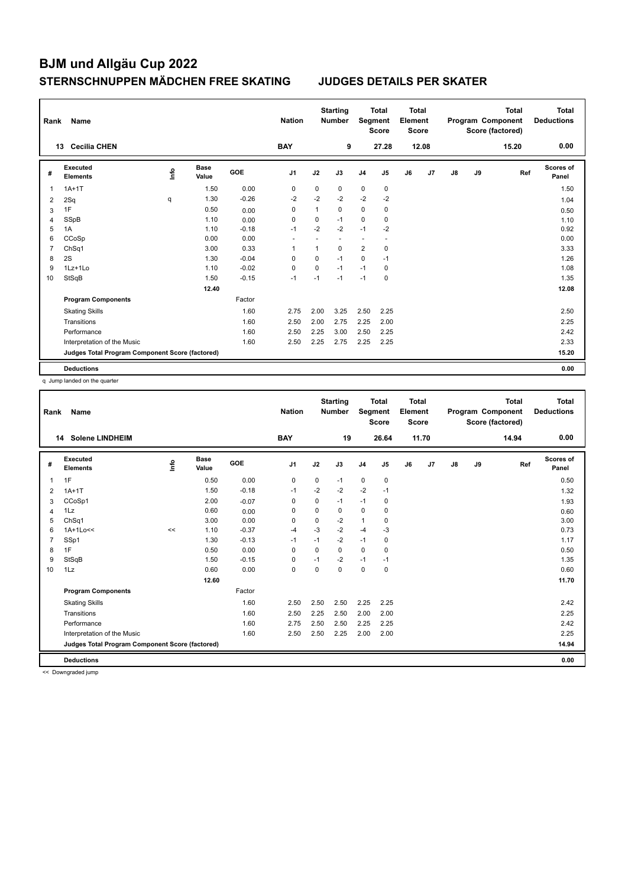| Rank           | Name                                            |    |                      |         | <b>Nation</b>  |              | <b>Starting</b><br><b>Number</b> | Segment        | <b>Total</b><br><b>Score</b> | <b>Total</b><br>Element<br><b>Score</b> |       |               |    | <b>Total</b><br>Program Component<br>Score (factored) | <b>Total</b><br><b>Deductions</b> |
|----------------|-------------------------------------------------|----|----------------------|---------|----------------|--------------|----------------------------------|----------------|------------------------------|-----------------------------------------|-------|---------------|----|-------------------------------------------------------|-----------------------------------|
|                | <b>Cecilia CHEN</b><br>13                       |    |                      |         | <b>BAY</b>     |              | 9                                |                | 27.28                        |                                         | 12.08 |               |    | 15.20                                                 | 0.00                              |
| #              | <b>Executed</b><br><b>Elements</b>              | ۴ů | <b>Base</b><br>Value | GOE     | J <sub>1</sub> | J2           | J3                               | J <sub>4</sub> | J5                           | J6                                      | J7    | $\mathsf{J}8$ | J9 | Ref                                                   | <b>Scores of</b><br>Panel         |
| 1              | $1A+1T$                                         |    | 1.50                 | 0.00    | 0              | 0            | 0                                | 0              | 0                            |                                         |       |               |    |                                                       | 1.50                              |
| 2              | 2Sq                                             | q  | 1.30                 | $-0.26$ | $-2$           | $-2$         | $-2$                             | $-2$           | $-2$                         |                                         |       |               |    |                                                       | 1.04                              |
| 3              | 1F                                              |    | 0.50                 | 0.00    | 0              | $\mathbf{1}$ | 0                                | 0              | 0                            |                                         |       |               |    |                                                       | 0.50                              |
| $\overline{4}$ | SSpB                                            |    | 1.10                 | 0.00    | 0              | 0            | $-1$                             | $\mathbf 0$    | 0                            |                                         |       |               |    |                                                       | 1.10                              |
| 5              | 1A                                              |    | 1.10                 | $-0.18$ | $-1$           | $-2$         | $-2$                             | $-1$           | $-2$                         |                                         |       |               |    |                                                       | 0.92                              |
| 6              | CCoSp                                           |    | 0.00                 | 0.00    |                |              |                                  |                | ٠                            |                                         |       |               |    |                                                       | 0.00                              |
| 7              | ChSq1                                           |    | 3.00                 | 0.33    | $\overline{1}$ | $\mathbf{1}$ | $\Omega$                         | $\overline{2}$ | $\mathbf 0$                  |                                         |       |               |    |                                                       | 3.33                              |
| 8              | 2S                                              |    | 1.30                 | $-0.04$ | 0              | 0            | $-1$                             | 0              | $-1$                         |                                         |       |               |    |                                                       | 1.26                              |
| 9              | 1Lz+1Lo                                         |    | 1.10                 | $-0.02$ | 0              | 0            | $-1$                             | $-1$           | 0                            |                                         |       |               |    |                                                       | 1.08                              |
| 10             | StSqB                                           |    | 1.50                 | $-0.15$ | $-1$           | $-1$         | $-1$                             | $-1$           | $\mathbf 0$                  |                                         |       |               |    |                                                       | 1.35                              |
|                |                                                 |    | 12.40                |         |                |              |                                  |                |                              |                                         |       |               |    |                                                       | 12.08                             |
|                | <b>Program Components</b>                       |    |                      | Factor  |                |              |                                  |                |                              |                                         |       |               |    |                                                       |                                   |
|                | <b>Skating Skills</b>                           |    |                      | 1.60    | 2.75           | 2.00         | 3.25                             | 2.50           | 2.25                         |                                         |       |               |    |                                                       | 2.50                              |
|                | Transitions                                     |    |                      | 1.60    | 2.50           | 2.00         | 2.75                             | 2.25           | 2.00                         |                                         |       |               |    |                                                       | 2.25                              |
|                | Performance                                     |    |                      | 1.60    | 2.50           | 2.25         | 3.00                             | 2.50           | 2.25                         |                                         |       |               |    |                                                       | 2.42                              |
|                | Interpretation of the Music                     |    |                      | 1.60    | 2.50           | 2.25         | 2.75                             | 2.25           | 2.25                         |                                         |       |               |    |                                                       | 2.33                              |
|                | Judges Total Program Component Score (factored) |    |                      |         |                |              |                                  |                |                              |                                         |       |               |    |                                                       | 15.20                             |
|                | <b>Deductions</b>                               |    |                      |         |                |              |                                  |                |                              |                                         |       |               |    |                                                       | 0.00                              |

q Jump landed on the quarter

| Rank           | <b>Name</b>                                     |    |                      |         | <b>Nation</b> |             | <b>Starting</b><br><b>Number</b> | <b>Segment</b> | <b>Total</b><br><b>Score</b> | Total<br>Element<br><b>Score</b> |       |               |    | Total<br>Program Component<br>Score (factored) | Total<br><b>Deductions</b> |
|----------------|-------------------------------------------------|----|----------------------|---------|---------------|-------------|----------------------------------|----------------|------------------------------|----------------------------------|-------|---------------|----|------------------------------------------------|----------------------------|
|                | <b>Solene LINDHEIM</b><br>14                    |    |                      |         | <b>BAY</b>    |             | 19                               |                | 26.64                        |                                  | 11.70 |               |    | 14.94                                          | 0.00                       |
| #              | Executed<br><b>Elements</b>                     | ۴٥ | <b>Base</b><br>Value | GOE     | J1            | J2          | J3                               | J <sub>4</sub> | J5                           | J6                               | J7    | $\mathsf{J}8$ | J9 | Ref                                            | <b>Scores of</b><br>Panel  |
| $\overline{1}$ | 1F                                              |    | 0.50                 | 0.00    | 0             | $\mathbf 0$ | $-1$                             | $\mathbf 0$    | $\mathbf 0$                  |                                  |       |               |    |                                                | 0.50                       |
| 2              | $1A+1T$                                         |    | 1.50                 | $-0.18$ | $-1$          | $-2$        | $-2$                             | $-2$           | $-1$                         |                                  |       |               |    |                                                | 1.32                       |
| 3              | CCoSp1                                          |    | 2.00                 | $-0.07$ | 0             | 0           | $-1$                             | $-1$           | 0                            |                                  |       |               |    |                                                | 1.93                       |
| $\overline{4}$ | 1Lz                                             |    | 0.60                 | 0.00    | $\mathbf 0$   | $\mathbf 0$ | 0                                | $\mathbf 0$    | 0                            |                                  |       |               |    |                                                | 0.60                       |
| 5              | Ch <sub>Sq1</sub>                               |    | 3.00                 | 0.00    | 0             | $\Omega$    | $-2$                             | $\mathbf{1}$   | $\mathbf 0$                  |                                  |       |               |    |                                                | 3.00                       |
| 6              | $1A+1Lo<<$                                      | << | 1.10                 | $-0.37$ | $-4$          | $-3$        | $-2$                             | $-4$           | -3                           |                                  |       |               |    |                                                | 0.73                       |
| $\overline{7}$ | SSp1                                            |    | 1.30                 | $-0.13$ | $-1$          | $-1$        | $-2$                             | $-1$           | $\mathbf 0$                  |                                  |       |               |    |                                                | 1.17                       |
| 8              | 1F                                              |    | 0.50                 | 0.00    | $\Omega$      | $\Omega$    | $\Omega$                         | $\Omega$       | $\mathbf 0$                  |                                  |       |               |    |                                                | 0.50                       |
| 9              | StSqB                                           |    | 1.50                 | $-0.15$ | 0             | $-1$        | $-2$                             | $-1$           | $-1$                         |                                  |       |               |    |                                                | 1.35                       |
| 10             | 1Lz                                             |    | 0.60                 | 0.00    | $\mathbf 0$   | 0           | 0                                | $\mathbf 0$    | $\pmb{0}$                    |                                  |       |               |    |                                                | 0.60                       |
|                |                                                 |    | 12.60                |         |               |             |                                  |                |                              |                                  |       |               |    |                                                | 11.70                      |
|                | <b>Program Components</b>                       |    |                      | Factor  |               |             |                                  |                |                              |                                  |       |               |    |                                                |                            |
|                | <b>Skating Skills</b>                           |    |                      | 1.60    | 2.50          | 2.50        | 2.50                             | 2.25           | 2.25                         |                                  |       |               |    |                                                | 2.42                       |
|                | Transitions                                     |    |                      | 1.60    | 2.50          | 2.25        | 2.50                             | 2.00           | 2.00                         |                                  |       |               |    |                                                | 2.25                       |
|                | Performance                                     |    |                      | 1.60    | 2.75          | 2.50        | 2.50                             | 2.25           | 2.25                         |                                  |       |               |    |                                                | 2.42                       |
|                | Interpretation of the Music                     |    |                      | 1.60    | 2.50          | 2.50        | 2.25                             | 2.00           | 2.00                         |                                  |       |               |    |                                                | 2.25                       |
|                | Judges Total Program Component Score (factored) |    |                      |         |               |             |                                  |                |                              |                                  |       |               |    |                                                | 14.94                      |
|                | <b>Deductions</b>                               |    |                      |         |               |             |                                  |                |                              |                                  |       |               |    |                                                | 0.00                       |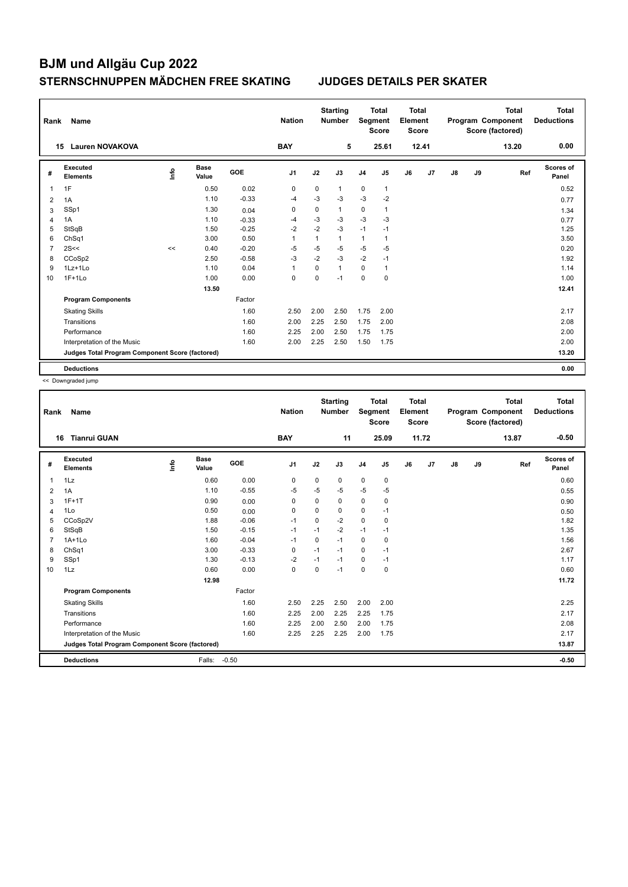| Rank           | Name                                            |                                  |                      |         | <b>Nation</b>  |             | <b>Starting</b><br><b>Number</b> | Segment        | <b>Total</b><br><b>Score</b> | <b>Total</b><br>Element<br><b>Score</b> |                |    |    | <b>Total</b><br>Program Component<br>Score (factored) | <b>Total</b><br><b>Deductions</b> |
|----------------|-------------------------------------------------|----------------------------------|----------------------|---------|----------------|-------------|----------------------------------|----------------|------------------------------|-----------------------------------------|----------------|----|----|-------------------------------------------------------|-----------------------------------|
|                | <b>Lauren NOVAKOVA</b><br>15                    |                                  |                      |         | <b>BAY</b>     |             | 5                                |                | 25.61                        |                                         | 12.41          |    |    | 13.20                                                 | 0.00                              |
| #              | Executed<br><b>Elements</b>                     | $\mathop{\mathsf{Int}}\nolimits$ | <b>Base</b><br>Value | GOE     | J <sub>1</sub> | J2          | J3                               | J <sub>4</sub> | J <sub>5</sub>               | J6                                      | J <sub>7</sub> | J8 | J9 | Ref                                                   | Scores of<br>Panel                |
| 1              | 1F                                              |                                  | 0.50                 | 0.02    | 0              | 0           | $\mathbf{1}$                     | $\pmb{0}$      | 1                            |                                         |                |    |    |                                                       | 0.52                              |
| $\overline{2}$ | 1A                                              |                                  | 1.10                 | $-0.33$ | -4             | $-3$        | $-3$                             | $-3$           | $-2$                         |                                         |                |    |    |                                                       | 0.77                              |
| 3              | SSp1                                            |                                  | 1.30                 | 0.04    | 0              | $\mathbf 0$ | $\mathbf{1}$                     | $\pmb{0}$      | 1                            |                                         |                |    |    |                                                       | 1.34                              |
| 4              | 1A                                              |                                  | 1.10                 | $-0.33$ | -4             | -3          | $-3$                             | $-3$           | -3                           |                                         |                |    |    |                                                       | 0.77                              |
| 5              | StSqB                                           |                                  | 1.50                 | $-0.25$ | $-2$           | $-2$        | $-3$                             | $-1$           | $-1$                         |                                         |                |    |    |                                                       | 1.25                              |
| 6              | ChSq1                                           |                                  | 3.00                 | 0.50    | $\overline{1}$ | 1           | $\mathbf{1}$                     | $\mathbf{1}$   | 1                            |                                         |                |    |    |                                                       | 3.50                              |
| $\overline{7}$ | 2S<<                                            | <<                               | 0.40                 | $-0.20$ | -5             | $-5$        | $-5$                             | $-5$           | $-5$                         |                                         |                |    |    |                                                       | 0.20                              |
| 8              | CCoSp2                                          |                                  | 2.50                 | $-0.58$ | -3             | $-2$        | $-3$                             | $-2$           | $-1$                         |                                         |                |    |    |                                                       | 1.92                              |
| 9              | $1Lz+1Lo$                                       |                                  | 1.10                 | 0.04    | $\overline{1}$ | $\mathbf 0$ | $\mathbf{1}$                     | $\mathbf 0$    | $\mathbf{1}$                 |                                         |                |    |    |                                                       | 1.14                              |
| 10             | $1F+1Lo$                                        |                                  | 1.00                 | 0.00    | 0              | $\mathbf 0$ | $-1$                             | $\mathbf 0$    | $\mathbf 0$                  |                                         |                |    |    |                                                       | 1.00                              |
|                |                                                 |                                  | 13.50                |         |                |             |                                  |                |                              |                                         |                |    |    |                                                       | 12.41                             |
|                | <b>Program Components</b>                       |                                  |                      | Factor  |                |             |                                  |                |                              |                                         |                |    |    |                                                       |                                   |
|                | <b>Skating Skills</b>                           |                                  |                      | 1.60    | 2.50           | 2.00        | 2.50                             | 1.75           | 2.00                         |                                         |                |    |    |                                                       | 2.17                              |
|                | Transitions                                     |                                  |                      | 1.60    | 2.00           | 2.25        | 2.50                             | 1.75           | 2.00                         |                                         |                |    |    |                                                       | 2.08                              |
|                | Performance                                     |                                  |                      | 1.60    | 2.25           | 2.00        | 2.50                             | 1.75           | 1.75                         |                                         |                |    |    |                                                       | 2.00                              |
|                | Interpretation of the Music                     |                                  |                      | 1.60    | 2.00           | 2.25        | 2.50                             | 1.50           | 1.75                         |                                         |                |    |    |                                                       | 2.00                              |
|                | Judges Total Program Component Score (factored) |                                  |                      |         |                |             |                                  |                |                              |                                         |                |    |    |                                                       | 13.20                             |
|                | <b>Deductions</b>                               |                                  |                      |         |                |             |                                  |                |                              |                                         |                |    |    |                                                       | 0.00                              |

| Rank           | Name                                            |      |                      |            | <b>Nation</b>  |             | <b>Starting</b><br><b>Number</b> | Segment        | <b>Total</b><br><b>Score</b> | <b>Total</b><br>Element<br><b>Score</b> |                |               |    | <b>Total</b><br>Program Component<br>Score (factored) | <b>Total</b><br><b>Deductions</b> |
|----------------|-------------------------------------------------|------|----------------------|------------|----------------|-------------|----------------------------------|----------------|------------------------------|-----------------------------------------|----------------|---------------|----|-------------------------------------------------------|-----------------------------------|
|                | <b>Tianrui GUAN</b><br>16                       |      |                      |            | <b>BAY</b>     |             | 11                               |                | 25.09                        |                                         | 11.72          |               |    | 13.87                                                 | $-0.50$                           |
| #              | Executed<br><b>Elements</b>                     | ١nfo | <b>Base</b><br>Value | <b>GOE</b> | J <sub>1</sub> | J2          | J3                               | J <sub>4</sub> | J <sub>5</sub>               | J6                                      | J <sub>7</sub> | $\mathsf{J}8$ | J9 | Ref                                                   | <b>Scores of</b><br>Panel         |
| $\overline{1}$ | 1Lz                                             |      | 0.60                 | 0.00       | 0              | $\mathbf 0$ | 0                                | $\mathbf 0$    | 0                            |                                         |                |               |    |                                                       | 0.60                              |
| 2              | 1A                                              |      | 1.10                 | $-0.55$    | $-5$           | $-5$        | $-5$                             | $-5$           | $-5$                         |                                         |                |               |    |                                                       | 0.55                              |
| 3              | $1F+1T$                                         |      | 0.90                 | 0.00       | 0              | 0           | 0                                | $\mathbf 0$    | $\mathbf 0$                  |                                         |                |               |    |                                                       | 0.90                              |
| $\overline{4}$ | 1Lo                                             |      | 0.50                 | 0.00       | 0              | 0           | 0                                | 0              | $-1$                         |                                         |                |               |    |                                                       | 0.50                              |
| 5              | CCoSp2V                                         |      | 1.88                 | $-0.06$    | $-1$           | $\mathbf 0$ | $-2$                             | $\Omega$       | $\mathbf 0$                  |                                         |                |               |    |                                                       | 1.82                              |
| 6              | StSqB                                           |      | 1.50                 | $-0.15$    | $-1$           | $-1$        | $-2$                             | $-1$           | $-1$                         |                                         |                |               |    |                                                       | 1.35                              |
| $\overline{7}$ | $1A+1Lo$                                        |      | 1.60                 | $-0.04$    | $-1$           | $\Omega$    | $-1$                             | $\mathbf 0$    | $\mathbf 0$                  |                                         |                |               |    |                                                       | 1.56                              |
| 8              | Ch <sub>Sq1</sub>                               |      | 3.00                 | $-0.33$    | 0              | $-1$        | $-1$                             | 0              | $-1$                         |                                         |                |               |    |                                                       | 2.67                              |
| 9              | SSp1                                            |      | 1.30                 | $-0.13$    | $-2$           | $-1$        | $-1$                             | $\mathbf 0$    | $-1$                         |                                         |                |               |    |                                                       | 1.17                              |
| 10             | 1Lz                                             |      | 0.60                 | 0.00       | $\mathbf 0$    | $\Omega$    | $-1$                             | $\Omega$       | $\mathbf 0$                  |                                         |                |               |    |                                                       | 0.60                              |
|                |                                                 |      | 12.98                |            |                |             |                                  |                |                              |                                         |                |               |    |                                                       | 11.72                             |
|                | <b>Program Components</b>                       |      |                      | Factor     |                |             |                                  |                |                              |                                         |                |               |    |                                                       |                                   |
|                | <b>Skating Skills</b>                           |      |                      | 1.60       | 2.50           | 2.25        | 2.50                             | 2.00           | 2.00                         |                                         |                |               |    |                                                       | 2.25                              |
|                | Transitions                                     |      |                      | 1.60       | 2.25           | 2.00        | 2.25                             | 2.25           | 1.75                         |                                         |                |               |    |                                                       | 2.17                              |
|                | Performance                                     |      |                      | 1.60       | 2.25           | 2.00        | 2.50                             | 2.00           | 1.75                         |                                         |                |               |    |                                                       | 2.08                              |
|                | Interpretation of the Music                     |      |                      | 1.60       | 2.25           | 2.25        | 2.25                             | 2.00           | 1.75                         |                                         |                |               |    |                                                       | 2.17                              |
|                | Judges Total Program Component Score (factored) |      |                      |            |                |             |                                  |                |                              |                                         |                |               |    |                                                       | 13.87                             |
|                | <b>Deductions</b>                               |      | Falls:               | $-0.50$    |                |             |                                  |                |                              |                                         |                |               |    |                                                       | $-0.50$                           |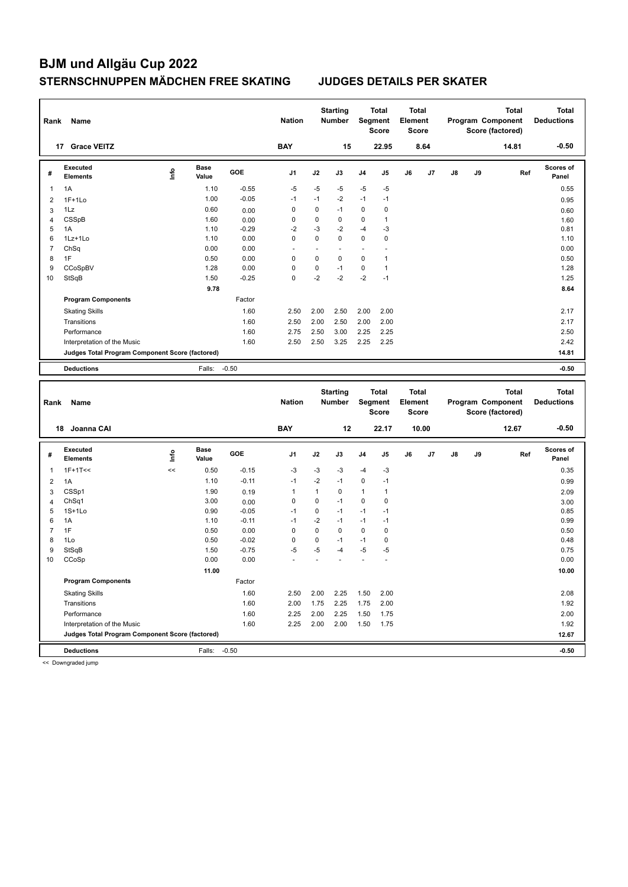| Rank           | Name                                            |      |                      |         | <b>Nation</b>  |              | <b>Starting</b><br>Number |             | Total<br>Segment<br><b>Score</b> | <b>Total</b><br>Element<br><b>Score</b> |       |    |    | <b>Total</b><br>Program Component<br>Score (factored) |     | <b>Total</b><br><b>Deductions</b> |
|----------------|-------------------------------------------------|------|----------------------|---------|----------------|--------------|---------------------------|-------------|----------------------------------|-----------------------------------------|-------|----|----|-------------------------------------------------------|-----|-----------------------------------|
|                | 17 Grace VEITZ                                  |      |                      |         | <b>BAY</b>     |              | 15                        |             | 22.95                            |                                         | 8.64  |    |    | 14.81                                                 |     | $-0.50$                           |
| #              | <b>Executed</b><br><b>Elements</b>              | lnfo | <b>Base</b><br>Value | GOE     | J <sub>1</sub> | J2           | J3                        | J4          | J5                               | J6                                      | J7    | J8 | J9 |                                                       | Ref | Scores of<br>Panel                |
| 1              | 1A                                              |      | 1.10                 | $-0.55$ | $-5$           | $-5$         | -5                        | $-5$        | $-5$                             |                                         |       |    |    |                                                       |     | 0.55                              |
| $\overline{2}$ | $1F+1Lo$                                        |      | 1.00                 | $-0.05$ | $-1$           | $-1$         | $-2$                      | $-1$        | $-1$                             |                                         |       |    |    |                                                       |     | 0.95                              |
| 3              | 1Lz                                             |      | 0.60                 | 0.00    | $\mathbf 0$    | $\mathbf 0$  | $-1$                      | $\mathbf 0$ | 0                                |                                         |       |    |    |                                                       |     | 0.60                              |
| $\overline{4}$ | <b>CSSpB</b>                                    |      | 1.60                 | 0.00    | $\mathbf 0$    | $\mathbf 0$  | $\mathbf 0$               | 0           | $\mathbf{1}$                     |                                         |       |    |    |                                                       |     | 1.60                              |
| 5              | 1A                                              |      | 1.10                 | $-0.29$ | $-2$           | $-3$         | -2                        | $-4$        | -3                               |                                         |       |    |    |                                                       |     | 0.81                              |
| 6              | $1Lz+1Lo$                                       |      | 1.10                 | 0.00    | $\mathbf 0$    | $\mathbf 0$  | $\mathbf 0$               | 0           | 0                                |                                         |       |    |    |                                                       |     | 1.10                              |
| $\overline{7}$ | ChSq                                            |      | 0.00                 | 0.00    | ä,             | ÷.           | $\ddot{\phantom{1}}$      | ÷.          |                                  |                                         |       |    |    |                                                       |     | 0.00                              |
| 8              | 1F                                              |      | 0.50                 | 0.00    | $\mathbf 0$    | $\mathbf 0$  | $\mathbf 0$               | 0           | $\mathbf{1}$                     |                                         |       |    |    |                                                       |     | 0.50                              |
| 9              | CCoSpBV                                         |      | 1.28                 | 0.00    | $\mathbf 0$    | $\pmb{0}$    | $-1$                      | 0           | $\mathbf{1}$                     |                                         |       |    |    |                                                       |     | 1.28                              |
| 10             | StSqB                                           |      | 1.50                 | $-0.25$ | $\mathbf 0$    | $-2$         | $-2$                      | $-2$        | $-1$                             |                                         |       |    |    |                                                       |     | 1.25                              |
|                |                                                 |      | 9.78                 |         |                |              |                           |             |                                  |                                         |       |    |    |                                                       |     | 8.64                              |
|                | <b>Program Components</b>                       |      |                      | Factor  |                |              |                           |             |                                  |                                         |       |    |    |                                                       |     |                                   |
|                | <b>Skating Skills</b>                           |      |                      | 1.60    | 2.50           | 2.00         | 2.50                      | 2.00        | 2.00                             |                                         |       |    |    |                                                       |     | 2.17                              |
|                | Transitions                                     |      |                      | 1.60    | 2.50           | 2.00         | 2.50                      | 2.00        | 2.00                             |                                         |       |    |    |                                                       |     | 2.17                              |
|                | Performance                                     |      |                      | 1.60    | 2.75           | 2.50         | 3.00                      | 2.25        | 2.25                             |                                         |       |    |    |                                                       |     | 2.50                              |
|                | Interpretation of the Music                     |      |                      | 1.60    | 2.50           | 2.50         | 3.25                      | 2.25        | 2.25                             |                                         |       |    |    |                                                       |     | 2.42                              |
|                | Judges Total Program Component Score (factored) |      |                      |         |                |              |                           |             |                                  |                                         |       |    |    |                                                       |     | 14.81                             |
|                |                                                 |      | Falls:               | $-0.50$ |                |              |                           |             |                                  |                                         |       |    |    |                                                       |     | $-0.50$                           |
|                | <b>Deductions</b>                               |      |                      |         |                |              |                           |             |                                  |                                         |       |    |    |                                                       |     |                                   |
|                |                                                 |      |                      |         |                |              |                           |             |                                  |                                         |       |    |    |                                                       |     |                                   |
|                |                                                 |      |                      |         |                |              | <b>Starting</b>           |             | <b>Total</b>                     | <b>Total</b>                            |       |    |    | <b>Total</b>                                          |     | <b>Total</b>                      |
| Rank           | Name                                            |      |                      |         | <b>Nation</b>  |              | <b>Number</b>             |             | <b>Segment</b>                   | Element                                 |       |    |    | Program Component                                     |     | <b>Deductions</b>                 |
|                |                                                 |      |                      |         |                |              |                           |             | <b>Score</b>                     | <b>Score</b>                            |       |    |    | Score (factored)                                      |     |                                   |
|                | 18 Joanna CAI                                   |      |                      |         | <b>BAY</b>     |              | 12                        |             | 22.17                            |                                         | 10.00 |    |    | 12.67                                                 |     | $-0.50$                           |
|                |                                                 |      |                      |         |                |              |                           |             |                                  |                                         |       |    |    |                                                       |     |                                   |
| #              | <b>Executed</b><br><b>Elements</b>              | ١m   | <b>Base</b><br>Value | GOE     | J <sub>1</sub> | J2           | J3                        | J4          | J5                               | J6                                      | J7    | J8 | J9 |                                                       | Ref | <b>Scores of</b><br>Panel         |
| 1              | $1F+1T<<$                                       | <<   | 0.50                 | $-0.15$ | $-3$           | $-3$         | $-3$                      | $-4$        | $-3$                             |                                         |       |    |    |                                                       |     | 0.35                              |
| $\overline{2}$ | 1A                                              |      | 1.10                 | $-0.11$ | $-1$           | $-2$         | $-1$                      | 0           | $-1$                             |                                         |       |    |    |                                                       |     | 0.99                              |
| 3              | CSSp1                                           |      | 1.90                 | 0.19    | $\mathbf{1}$   | $\mathbf{1}$ | 0                         | 1           | $\mathbf{1}$                     |                                         |       |    |    |                                                       |     | 2.09                              |
| $\overline{4}$ | ChSq1                                           |      | 3.00                 | 0.00    | $\mathbf 0$    | $\mathbf 0$  | $-1$                      | $\mathbf 0$ | 0                                |                                         |       |    |    |                                                       |     | 3.00                              |
| 5              | $1S+1L0$                                        |      | 0.90                 | $-0.05$ | $-1$           | $\mathbf 0$  | $-1$                      | $-1$        | $-1$                             |                                         |       |    |    |                                                       |     | 0.85                              |
| 6              | 1A                                              |      | 1.10                 | $-0.11$ | $-1$           | $-2$         | $-1$                      | $-1$        | $-1$                             |                                         |       |    |    |                                                       |     | 0.99                              |
| $\overline{7}$ | 1F                                              |      | 0.50                 | 0.00    | $\mathbf 0$    | $\pmb{0}$    | 0                         | 0           | 0                                |                                         |       |    |    |                                                       |     | 0.50                              |
| 8              | 1Lo                                             |      | 0.50                 | $-0.02$ | $\pmb{0}$      | $\pmb{0}$    | $-1$                      | $-1$        | 0                                |                                         |       |    |    |                                                       |     | 0.48                              |
| 9              | StSqB                                           |      | 1.50                 | $-0.75$ | $-5$           | $-5$         | -4                        | $-5$        | $-5$                             |                                         |       |    |    |                                                       |     | 0.75                              |
| 10             | CCoSp                                           |      | 0.00                 | 0.00    |                |              |                           |             |                                  |                                         |       |    |    |                                                       |     | 0.00                              |
|                |                                                 |      | 11.00                |         |                |              |                           |             |                                  |                                         |       |    |    |                                                       |     | 10.00                             |
|                | <b>Program Components</b>                       |      |                      | Factor  |                |              |                           |             |                                  |                                         |       |    |    |                                                       |     |                                   |
|                | <b>Skating Skills</b>                           |      |                      | 1.60    | 2.50           | 2.00         | 2.25                      | 1.50        | 2.00                             |                                         |       |    |    |                                                       |     | 2.08                              |
|                | Transitions                                     |      |                      | 1.60    | 2.00           | 1.75         | 2.25                      | 1.75        | 2.00                             |                                         |       |    |    |                                                       |     | 1.92                              |
|                | Performance                                     |      |                      | 1.60    | 2.25           | 2.00         | 2.25                      | 1.50        | 1.75                             |                                         |       |    |    |                                                       |     | 2.00                              |

**Deductions** Falls: -0.50 **-0.50 Judges Total Program Component Score (factored) 12.67**